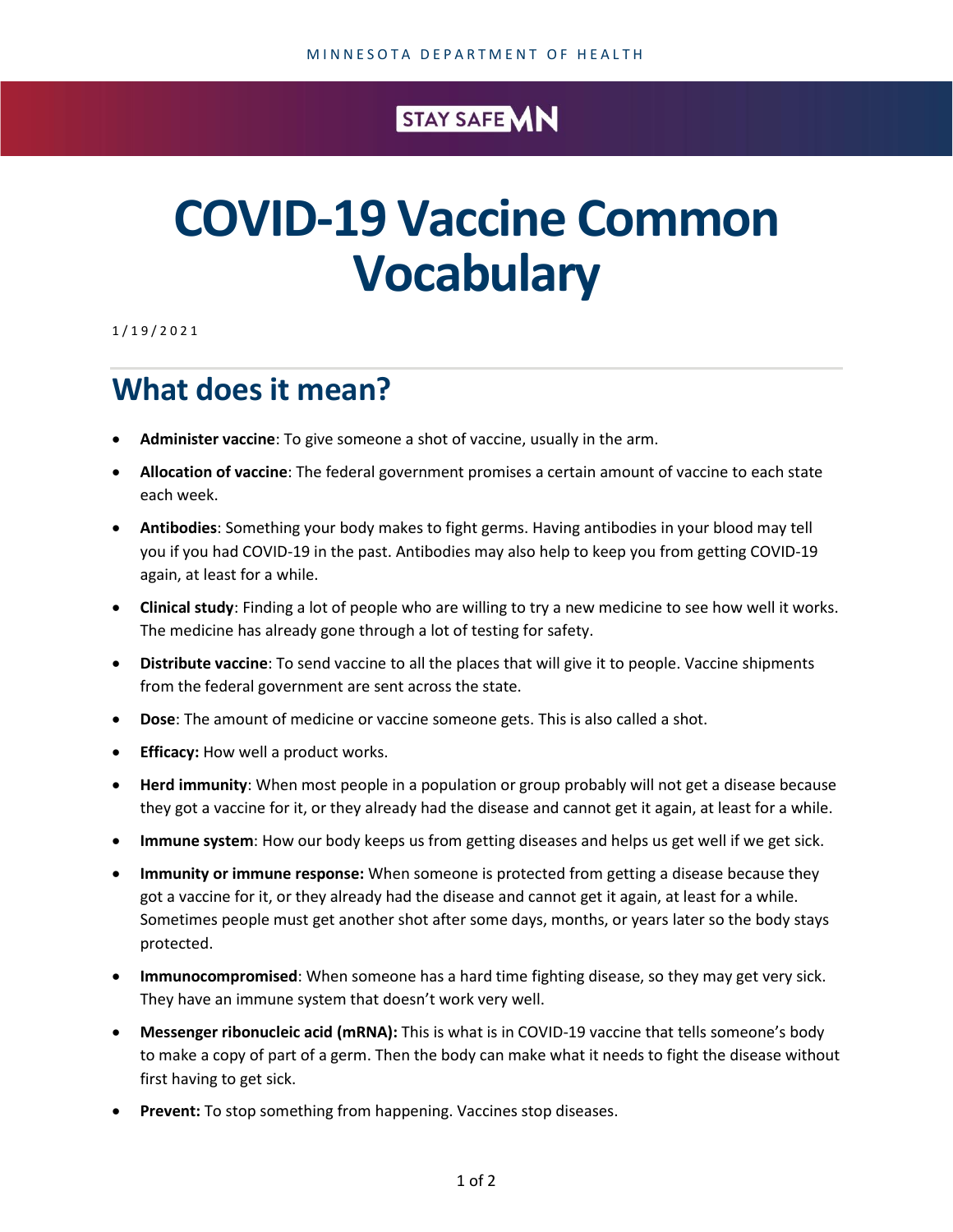## STAY SAFE MN

## **COVID-19 Vaccine Common Vocabulary**

1/1 9 / 2 0 2 1

## **What does it mean?**

- **Administer vaccine**: To give someone a shot of vaccine, usually in the arm.
- **Allocation of vaccine**: The federal government promises a certain amount of vaccine to each state each week.
- **Antibodies**: Something your body makes to fight germs. Having antibodies in your blood may tell you if you had COVID-19 in the past. Antibodies may also help to keep you from getting COVID-19 again, at least for a while.
- **Clinical study**: Finding a lot of people who are willing to try a new medicine to see how well it works. The medicine has already gone through a lot of testing for safety.
- **Distribute vaccine**: To send vaccine to all the places that will give it to people. Vaccine shipments from the federal government are sent across the state.
- **Dose**: The amount of medicine or vaccine someone gets. This is also called a shot.
- **Efficacy:** How well a product works.
- **Herd immunity**: When most people in a population or group probably will not get a disease because they got a vaccine for it, or they already had the disease and cannot get it again, at least for a while.
- **Immune system**: How our body keeps us from getting diseases and helps us get well if we get sick.
- **Immunity or immune response:** When someone is protected from getting a disease because they got a vaccine for it, or they already had the disease and cannot get it again, at least for a while. Sometimes people must get another shot after some days, months, or years later so the body stays protected.
- **Immunocompromised**: When someone has a hard time fighting disease, so they may get very sick. They have an immune system that doesn't work very well.
- **Messenger ribonucleic acid (mRNA):** This is what is in COVID-19 vaccine that tells someone's body to make a copy of part of a germ. Then the body can make what it needs to fight the disease without first having to get sick.
- **Prevent:** To stop something from happening. Vaccines stop diseases.